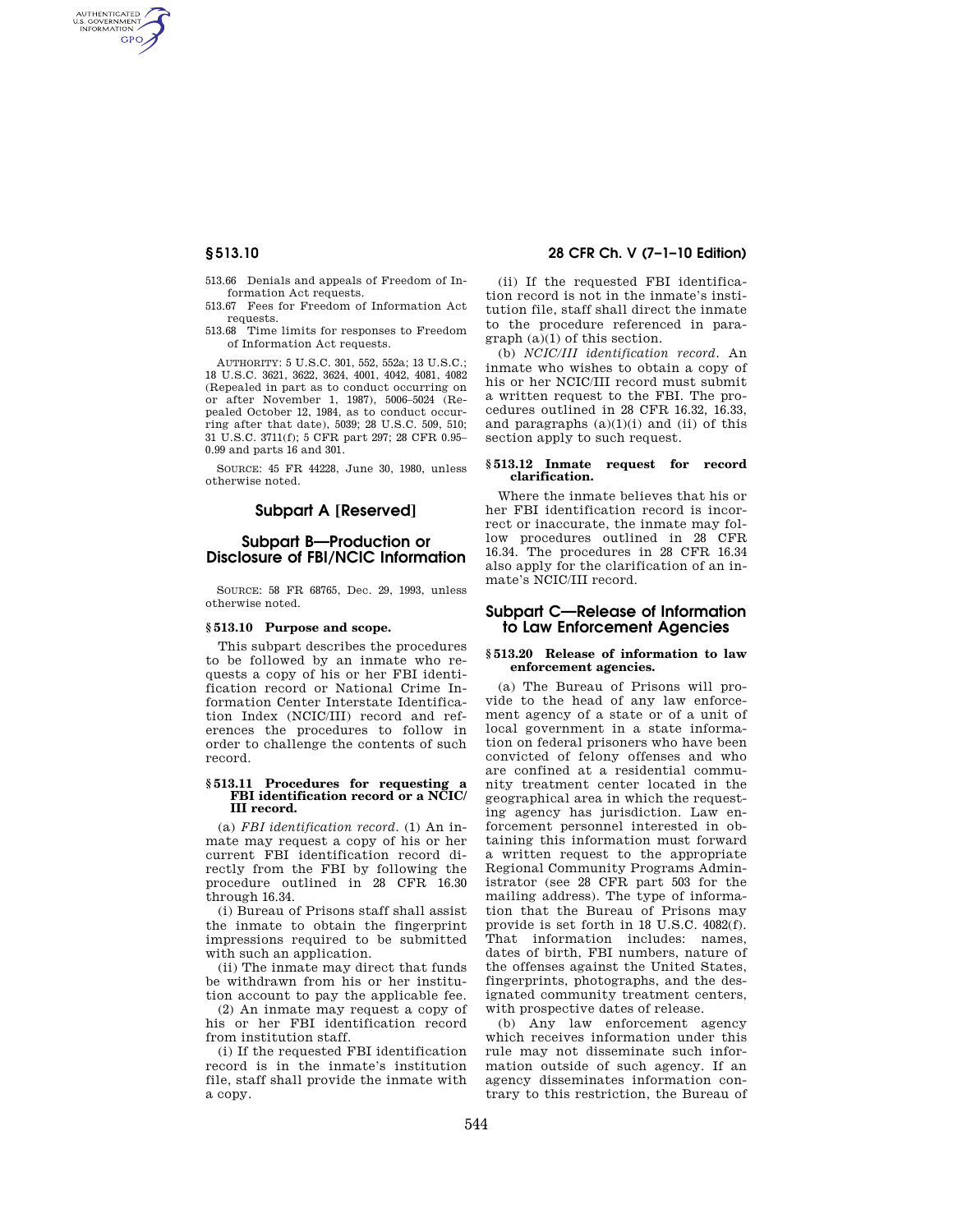AUTHENTICATED<br>U.S. GOVERNMENT<br>INFORMATION **GPO** 

> 513.66 Denials and appeals of Freedom of Information Act requests.

513.67 Fees for Freedom of Information Act requests.

513.68 Time limits for responses to Freedom of Information Act requests.

AUTHORITY: 5 U.S.C. 301, 552, 552a; 13 U.S.C.; 18 U.S.C. 3621, 3622, 3624, 4001, 4042, 4081, 4082 (Repealed in part as to conduct occurring on or after November 1, 1987), 5006–5024 (Repealed October 12, 1984, as to conduct occurring after that date),  $5039 \cdot 28$  U.S.C.  $509 \cdot 510 \cdot$ 31 U.S.C. 3711(f); 5 CFR part 297; 28 CFR 0.95– 0.99 and parts 16 and 301.

SOURCE: 45 FR 44228, June 30, 1980, unless otherwise noted.

## **Subpart A [Reserved]**

# **Subpart B—Production or Disclosure of FBI/NCIC Information**

SOURCE: 58 FR 68765, Dec. 29, 1993, unless otherwise noted.

## **§ 513.10 Purpose and scope.**

This subpart describes the procedures to be followed by an inmate who requests a copy of his or her FBI identification record or National Crime Information Center Interstate Identification Index (NCIC/III) record and references the procedures to follow in order to challenge the contents of such record.

#### **§ 513.11 Procedures for requesting a FBI identification record or a NCIC/ III record.**

(a) *FBI identification record.* (1) An inmate may request a copy of his or her current FBI identification record directly from the FBI by following the procedure outlined in 28 CFR 16.30 through 16.34.

(i) Bureau of Prisons staff shall assist the inmate to obtain the fingerprint impressions required to be submitted with such an application.

(ii) The inmate may direct that funds be withdrawn from his or her institution account to pay the applicable fee.

(2) An inmate may request a copy of his or her FBI identification record from institution staff.

(i) If the requested FBI identification record is in the inmate's institution file, staff shall provide the inmate with a copy.

# **§ 513.10 28 CFR Ch. V (7–1–10 Edition)**

(ii) If the requested FBI identification record is not in the inmate's institution file, staff shall direct the inmate to the procedure referenced in paragraph (a)(1) of this section.

(b) *NCIC/III identification record.* An inmate who wishes to obtain a copy of his or her NCIC/III record must submit a written request to the FBI. The procedures outlined in 28 CFR 16.32, 16.33, and paragraphs (a)(1)(i) and (ii) of this section apply to such request.

#### **§ 513.12 Inmate request for record clarification.**

Where the inmate believes that his or her FBI identification record is incorrect or inaccurate, the inmate may follow procedures outlined in 28 CFR 16.34. The procedures in 28 CFR 16.34 also apply for the clarification of an inmate's NCIC/III record.

# **Subpart C—Release of Information to Law Enforcement Agencies**

## **§ 513.20 Release of information to law enforcement agencies.**

(a) The Bureau of Prisons will provide to the head of any law enforcement agency of a state or of a unit of local government in a state information on federal prisoners who have been convicted of felony offenses and who are confined at a residential community treatment center located in the geographical area in which the requesting agency has jurisdiction. Law enforcement personnel interested in obtaining this information must forward a written request to the appropriate Regional Community Programs Administrator (see 28 CFR part 503 for the mailing address). The type of information that the Bureau of Prisons may provide is set forth in 18 U.S.C. 4082(f). That information includes: names, dates of birth, FBI numbers, nature of the offenses against the United States, fingerprints, photographs, and the designated community treatment centers, with prospective dates of release.

(b) Any law enforcement agency which receives information under this rule may not disseminate such information outside of such agency. If an agency disseminates information contrary to this restriction, the Bureau of